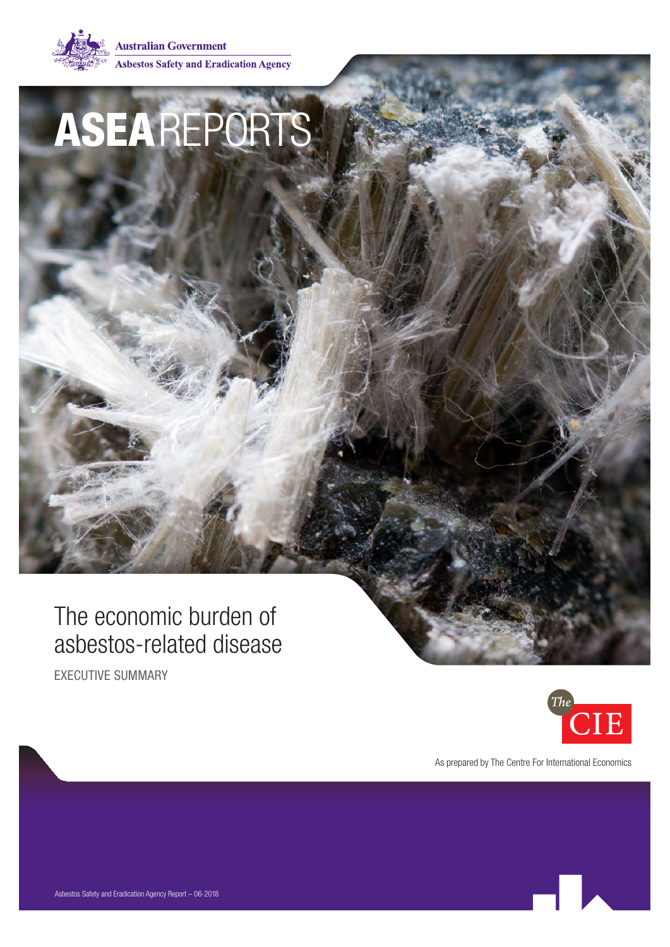

**Australian Government Asbestos Safety and Eradication Agency** 

# ASEAREPORTS

### The economic burden of asbestos-related disease

EXECUTIVE SUMMARY



As prepared by The Centre For International Economics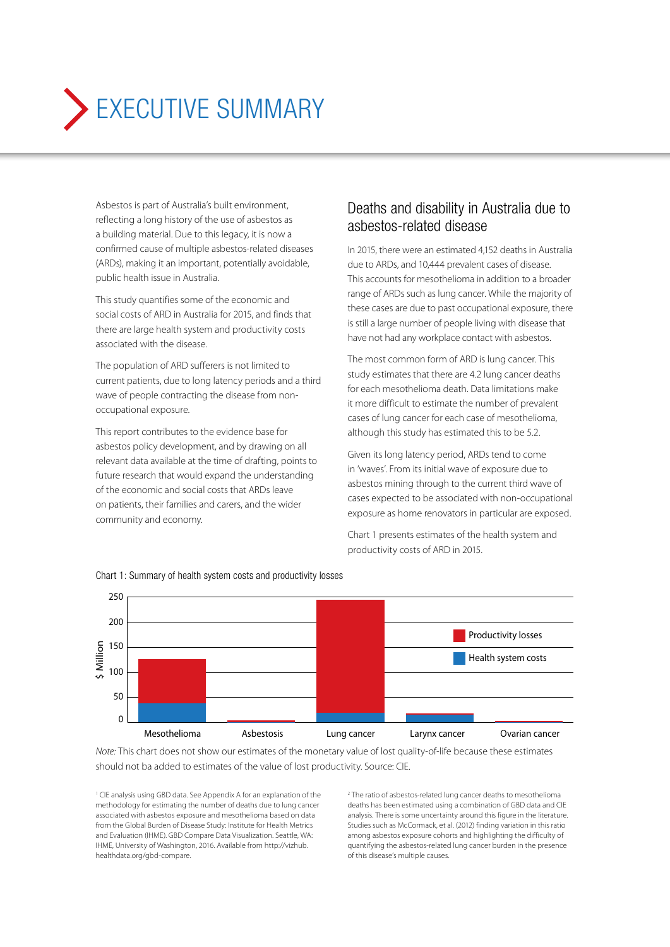## EXECUTIVE SUMMARY

Asbestos is part of Australia's built environment, reflecting a long history of the use of asbestos as a building material. Due to this legacy, it is now a confirmed cause of multiple asbestos-related diseases (ARDs), making it an important, potentially avoidable, public health issue in Australia.

This study quantifies some of the economic and social costs of ARD in Australia for 2015, and finds that there are large health system and productivity costs associated with the disease.

The population of ARD sufferers is not limited to current patients, due to long latency periods and a third wave of people contracting the disease from nonoccupational exposure.

This report contributes to the evidence base for asbestos policy development, and by drawing on all relevant data available at the time of drafting, points to future research that would expand the understanding of the economic and social costs that ARDs leave on patients, their families and carers, and the wider community and economy.

#### Deaths and disability in Australia due to asbestos-related disease

In 2015, there were an estimated 4,152 deaths in Australia due to ARDs, and 10,444 prevalent cases of disease. This accounts for mesothelioma in addition to a broader range of ARDs such as lung cancer. While the majority of these cases are due to past occupational exposure, there is still a large number of people living with disease that have not had any workplace contact with asbestos.

The most common form of ARD is lung cancer. This study estimates that there are 4.2 lung cancer deaths for each mesothelioma death. Data limitations make it more difficult to estimate the number of prevalent cases of lung cancer for each case of mesothelioma, although this study has estimated this to be 5.2.

Given its long latency period, ARDs tend to come in 'waves'. From its initial wave of exposure due to asbestos mining through to the current third wave of cases expected to be associated with non-occupational exposure as home renovators in particular are exposed.

Chart 1 presents estimates of the health system and productivity costs of ARD in 2015.



Chart 1: Summary of health system costs and productivity losses

*Note:* This chart does not show our estimates of the monetary value of lost quality-of-life because these estimates should not ba added to estimates of the value of lost productivity. Source: CIE.

<sup>1</sup> CIE analysis using GBD data. See Appendix A for an explanation of the methodology for estimating the number of deaths due to lung cancer associated with asbestos exposure and mesothelioma based on data from the Global Burden of Disease Study: Institute for Health Metrics and Evaluation (IHME). GBD Compare Data Visualization. Seattle, WA: IHME, University of Washington, 2016. Available from http://vizhub. healthdata.org/gbd-compare.

2 The ratio of asbestos-related lung cancer deaths to mesothelioma deaths has been estimated using a combination of GBD data and CIE analysis. There is some uncertainty around this figure in the literature. Studies such as McCormack, et al. (2012) finding variation in this ratio among asbestos exposure cohorts and highlighting the difficulty of quantifying the asbestos-related lung cancer burden in the presence of this disease's multiple causes.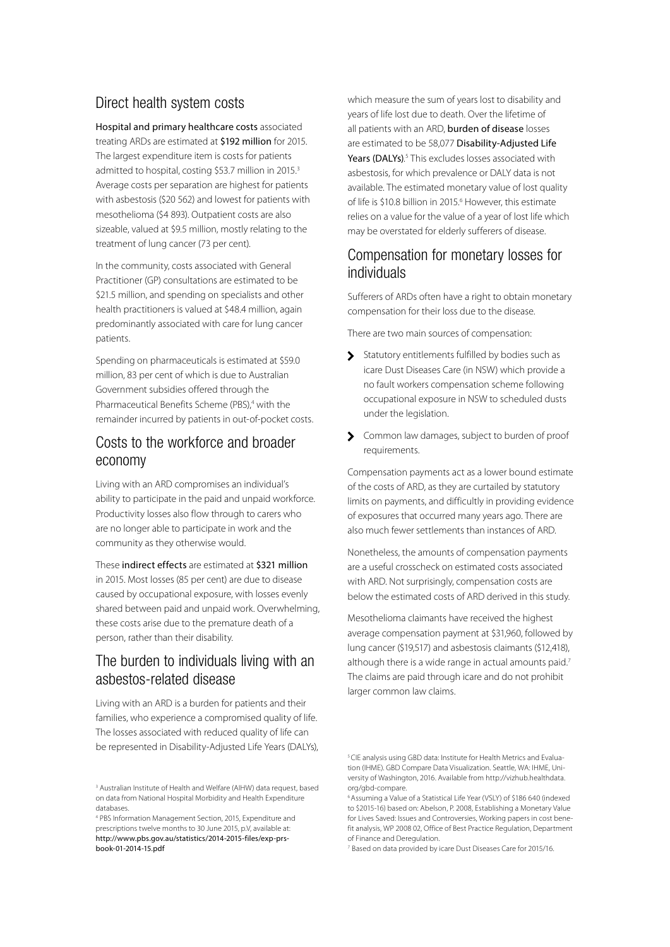#### Direct health system costs

Hospital and primary healthcare costs associated treating ARDs are estimated at \$192 million for 2015. The largest expenditure item is costs for patients admitted to hospital, costing \$53.7 million in 2015.<sup>3</sup> Average costs per separation are highest for patients with asbestosis (\$20 562) and lowest for patients with mesothelioma (\$4 893). Outpatient costs are also sizeable, valued at \$9.5 million, mostly relating to the treatment of lung cancer (73 per cent).

In the community, costs associated with General Practitioner (GP) consultations are estimated to be \$21.5 million, and spending on specialists and other health practitioners is valued at \$48.4 million, again predominantly associated with care for lung cancer patients.

Spending on pharmaceuticals is estimated at \$59.0 million, 83 per cent of which is due to Australian Government subsidies offered through the Pharmaceutical Benefits Scheme (PBS),<sup>4</sup> with the remainder incurred by patients in out-of-pocket costs.

#### Costs to the workforce and broader economy

Living with an ARD compromises an individual's ability to participate in the paid and unpaid workforce. Productivity losses also flow through to carers who are no longer able to participate in work and the community as they otherwise would.

These indirect effects are estimated at \$321 million in 2015. Most losses (85 per cent) are due to disease caused by occupational exposure, with losses evenly shared between paid and unpaid work. Overwhelming, these costs arise due to the premature death of a person, rather than their disability.

#### The burden to individuals living with an asbestos-related disease

Living with an ARD is a burden for patients and their families, who experience a compromised quality of life. The losses associated with reduced quality of life can be represented in Disability-Adjusted Life Years (DALYs), which measure the sum of years lost to disability and years of life lost due to death. Over the lifetime of all patients with an ARD, burden of disease losses are estimated to be 58,077 Disability-Adjusted Life Years (DALYs).<sup>5</sup> This excludes losses associated with asbestosis, for which prevalence or DALY data is not available. The estimated monetary value of lost quality of life is \$10.8 billion in 2015.<sup>6</sup> However, this estimate relies on a value for the value of a year of lost life which may be overstated for elderly sufferers of disease.

#### Compensation for monetary losses for individuals

Sufferers of ARDs often have a right to obtain monetary compensation for their loss due to the disease.

There are two main sources of compensation:

- Statutory entitlements fulfilled by bodies such as icare Dust Diseases Care (in NSW) which provide a no fault workers compensation scheme following occupational exposure in NSW to scheduled dusts under the legislation.
- S Common law damages, subject to burden of proof requirements.

Compensation payments act as a lower bound estimate of the costs of ARD, as they are curtailed by statutory limits on payments, and difficultly in providing evidence of exposures that occurred many years ago. There are also much fewer settlements than instances of ARD.

Nonetheless, the amounts of compensation payments are a useful crosscheck on estimated costs associated with ARD. Not surprisingly, compensation costs are below the estimated costs of ARD derived in this study.

Mesothelioma claimants have received the highest average compensation payment at \$31,960, followed by lung cancer (\$19,517) and asbestosis claimants (\$12,418), although there is a wide range in actual amounts paid.<sup>7</sup> The claims are paid through icare and do not prohibit larger common law claims.

<sup>3</sup> Australian Institute of Health and Welfare (AIHW) data request, based on data from National Hospital Morbidity and Health Expenditure databases.

<sup>4</sup> PBS Information Management Section, 2015, Expenditure and prescriptions twelve months to 30 June 2015, p.V, available at: http://www.pbs.gov.au/statistics/2014-2015-files/exp-prsbook-01-2014-15.pdf

<sup>&</sup>lt;sup>5</sup> CIE analysis using GBD data: Institute for Health Metrics and Evaluation (IHME). GBD Compare Data Visualization. Seattle, WA: IHME, University of Washington, 2016. Available from http://vizhub.healthdata. org/gbd-compare.

<sup>&</sup>lt;sup>6</sup> Assuming a Value of a Statistical Life Year (VSLY) of \$186 640 (indexed to \$2015-16) based on: Abelson, P. 2008, Establishing a Monetary Value for Lives Saved: Issues and Controversies, Working papers in cost benefit analysis, WP 2008 02, Office of Best Practice Regulation, Department of Finance and Deregulation.

<sup>7</sup> Based on data provided by icare Dust Diseases Care for 2015/16.